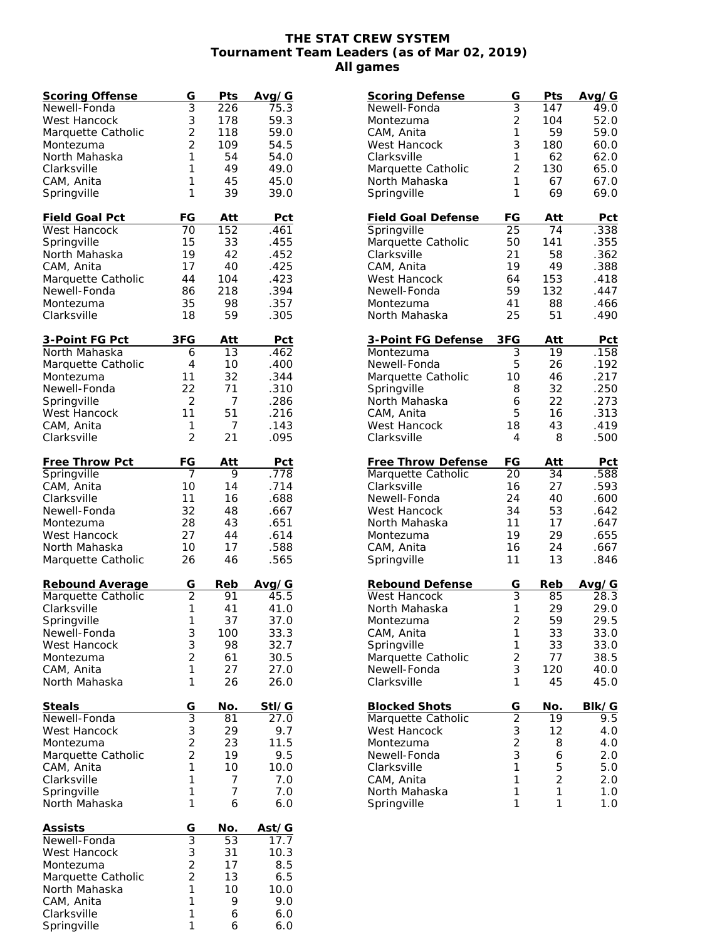## **THE STAT CREW SYSTEM Tournament Team Leaders (as of Mar 02, 2019) All games**

| <b>Scoring Offense</b> | G              | Pts | Avg/G |
|------------------------|----------------|-----|-------|
| Newell-Fonda           | $\overline{3}$ | 226 | 75.3  |
| West Hancock           | 3              | 178 | 59.3  |
| Marquette Catholic     | $\overline{c}$ | 118 | 59.0  |
| Montezuma              | $\overline{2}$ | 109 | 54.5  |
| North Mahaska          | 1              | 54  | 54.0  |
| Clarksville            | 1              | 49  | 49.0  |
| CAM, Anita             | 1              | 45  | 45.0  |
| Springville            | 1              | 39  | 39.0  |
|                        |                |     |       |
| <b>Field Goal Pct</b>  | FG             | Att | Pct   |
| West Hancock           | 70             | 152 | .461  |
| Springville            | 15             | 33  | .455  |
| North Mahaska          | 19             | 42  | .452  |
| CAM, Anita             | 17             | 40  | .425  |
| Marquette Catholic     | 44             | 104 | .423  |
| Newell-Fonda           | 86             | 218 | .394  |
| Montezuma              | 35             | 98  | .357  |
| Clarksville            | 18             | 59  | .305  |
|                        |                |     |       |
| <u>3-Point FG Pct</u>  | 3FG            | Att | Pct   |
| North Mahaska          | 6              | 13  | .462  |
| Marquette Catholic     | $\overline{4}$ | 10  | .400  |
| Montezuma              | 11             | 32  | .344  |
| Newell-Fonda           | 22             | 71  | .310  |
| Springville            | $\overline{2}$ | 7   | .286  |
| West Hancock           | 11             | 51  | .216  |
|                        |                |     |       |
| CAM, Anita             | 1<br>2         | 7   | .143  |
| Clarksville            |                | 21  | .095  |
| Free Throw Pct         | FG             | Att | Pct   |
| Springville            | 7              | 9   | .778  |
| CAM, Anita             | 10             | 14  | .714  |
| Clarksville            | 11             | 16  | .688  |
| Newell-Fonda           | 32             | 48  | .667  |
| Montezuma              | 28             | 43  | .651  |
| West Hancock           | 27             | 44  | .614  |
| North Mahaska          | 10             | 17  | .588  |
|                        | 26             | 46  |       |
| Marquette Catholic     |                |     | .565  |
| Rebound Average        | G              | Reb | Avg/G |
| Marquette Catholic     | 2              | 91  | 45.5  |
| Clarksville            | 1              | 41  | 41.0  |
| Springville            | 1              | 37  | 37.0  |
| Newell-Fonda           | 3              | 100 | 33.3  |
| <b>West Hancock</b>    | 3              | 98  | 32.7  |
| Montezuma              | $\overline{2}$ | 61  | 30.5  |
| CAM, Anita             | 1              | 27  | 27.0  |
| North Mahaska          | 1              | 26  | 26.0  |
|                        |                |     |       |
| Steals                 | G              | No. | StI/G |
| Newell-Fonda           | $\overline{3}$ | 81  | 27.0  |
| West Hancock           | 3              | 29  | 9.7   |
| Montezuma              | $\overline{c}$ | 23  | 11.5  |
| Marquette Catholic     | $\overline{2}$ | 19  | 9.5   |
| CAM, Anita             | 1              | 10  | 10.0  |
| Clarksville            | 1              | 7   | 7.0   |
| Springville            | 1              | 7   | 7.0   |
| North Mahaska          | 1              | 6   | 6.0   |
|                        |                |     |       |
| <u>Assists</u>         | G              | No. | Ast/G |
| Newell-Fonda           | $\overline{3}$ | 53  | 17.7  |
| West Hancock           | 3              | 31  | 10.3  |
| Montezuma              |                | 17  | 8.5   |
| Marquette Catholic     | $\frac{2}{2}$  | 13  | 6.5   |
| North Mahaska          | $\mathbf{1}$   | 10  | 10.0  |
| CAM, Anita             | 1              | 9   | 9.0   |
| Clarksville            | 1              | 6   | 6.0   |
| Springville            | 1              | 6   | 6.0   |

| <b>Scoring Defense</b>       | G              | Pts    | Avg/G      |
|------------------------------|----------------|--------|------------|
| Newell-Fonda                 | 3              | 147    | 49.0       |
| Montezuma                    | $\overline{2}$ | 104    | 52.0       |
| CAM, Anita                   | 1              | 59     | 59.0       |
| West Hancock                 | 3              | 180    | 60.0       |
| Clarksville                  | 1              | 62     | 62.0       |
| Marquette Catholic           | $\overline{2}$ | 130    | 65.0       |
| North Mahaska                | 1              | 67     | 67.0       |
| Springville                  | 1              | 69     | 69.0       |
| <b>Field Goal Defense</b>    | FG             | Att    | Pct        |
| Springville                  | 25             | 74     | .338       |
| Marquette Catholic           | 50             | 141    | .355       |
| Clarksville                  | 21             | 58     | .362       |
| CAM, Anita                   | 19             | 49     | .388       |
| West Hancock                 | 64             | 153    | .418       |
| Newell-Fonda                 | 59             | 132    | .447       |
| Montezuma                    | 41             | 88     | .466       |
| North Mahaska                | 25             | 51     | .490       |
| 3-Point FG Defense           | 3FG            | Att    | <u>Pct</u> |
| Montezuma                    | 3              | 19     | .158       |
| Newell-Fonda                 | 5              | 26     | .192       |
| Marquette Catholic           | 10             | 46     | .217       |
| Springville                  | 8              | 32     | .250       |
| North Mahaska                | 6              | 22     | .273       |
| CAM, Anita                   | 5              | 16     | .313       |
| <b>West Hancock</b>          | 18             | 43     | .419       |
| Clarksville                  | 4              | 8      | .500       |
| Free Throw Defense           | FG             | Att    | Pct        |
| Marquette Catholic           | 20             | 34     | .588       |
| Clarksville                  | 16             | 27     | .593       |
| Newell-Fonda                 | 24             | 40     | .600       |
| West Hancock                 | 34             | 53     | .642       |
| North Mahaska                | 11             | 17     | .647       |
| Montezuma                    | 19             | 29     | .655       |
| CAM, Anita                   | 16             | 24     | .667       |
| Springville                  | 11             | 13     | .846       |
| Rebound Defense              | G              | Reb    | Avg/G      |
| West Hancock                 | 3              | 85     | 28.3       |
| North Mahaska                | $\mathbf 1$    | 29     | 29.0       |
| Montezuma                    | $\overline{c}$ | 59     | 29.5       |
| CAM, Anita                   | 1              | 33     | 33.0       |
| Springville                  | 1              | 33     | 33.0       |
| Marquette Catholic           | $\overline{c}$ | 77     | 38.5       |
| Newell-Fonda                 | 3              | 120    | 40.0       |
| Clarksville                  | 1              | 45     | 45.0       |
| <b>Blocked Shots</b>         | G              | No.    | BIk/G      |
| Marquette Catholic           |                | 19     | 9.5        |
|                              |                |        |            |
| West Hancock                 | $\frac{2}{3}$  | 12     | 4.0        |
| Montezuma                    | $\overline{2}$ | 8      | 4.0        |
| Newell-Fonda                 | 3              | 6      | 2.0        |
| Clarksville                  | 1              | 5      | 5.0        |
| CAM, Anita                   | 1              | 2      | 2.0        |
| North Mahaska<br>Springville | 1<br>1         | 1<br>1 | 1.0<br>1.0 |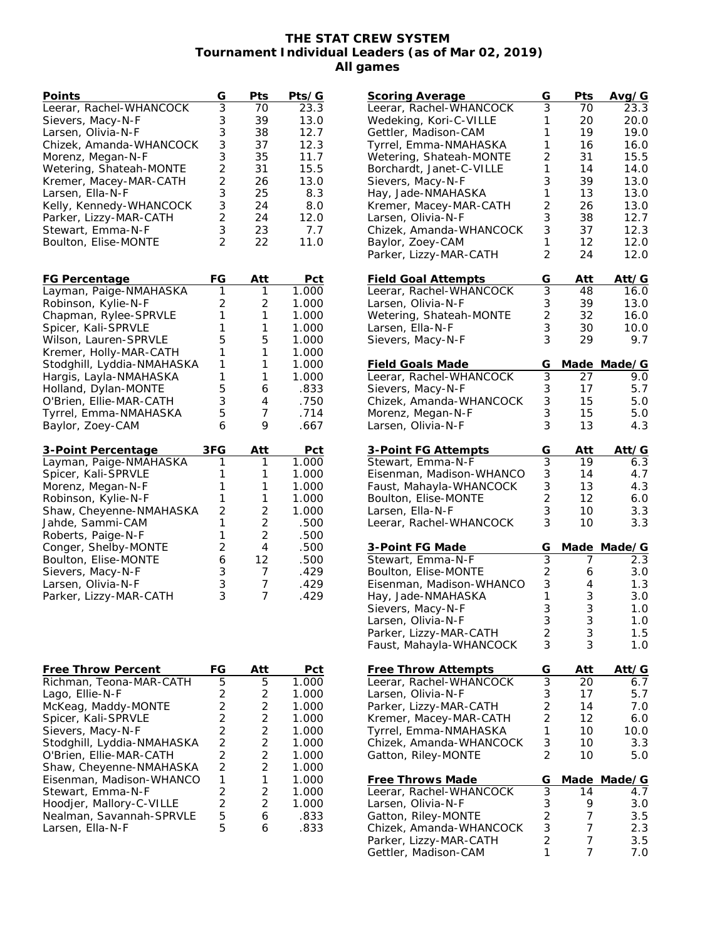## **THE STAT CREW SYSTEM Tournament Individual Leaders (as of Mar 02, 2019) All games**

| Points                     | G                                            | Pts            | Pts/G             |
|----------------------------|----------------------------------------------|----------------|-------------------|
| Leerar, Rachel-WHANCOCK    | 3                                            | 70             | $\overline{23.3}$ |
| Sievers, Macy-N-F          | 3                                            | 39             | 13.0              |
| Larsen, Olivia-N-F         | $\overline{3}$                               | 38             | 12.7              |
| Chizek, Amanda-WHANCOCK    | $\begin{array}{c}\n3 \\ 3 \\ 2\n\end{array}$ | 37             | 12.3              |
| Morenz, Megan-N-F          |                                              | 35             | 11.7              |
| Wetering, Shateah-MONTE    |                                              | 31             | 15.5              |
| Kremer, Macey-MAR-CATH     |                                              | 26             | 13.0              |
| Larsen, Ella-N-F           | 3                                            | 25             | 8.3               |
| Kelly, Kennedy-WHANCOCK    | 3                                            | 24             | 8.0               |
| Parker, Lizzy-MAR-CATH     | $\overline{2}$                               | 24             | 12.0              |
| Stewart, Emma-N-F          | $\frac{3}{2}$                                | 23             | 7.7               |
| Boulton, Elise-MONTE       |                                              | 22             | 11.0              |
|                            |                                              |                |                   |
| <b>FG Percentage</b>       | FG                                           | Att            | Pct               |
| Layman, Paige-NMAHASKA     | 1                                            | 1              | 1.000             |
| Robinson, Kylie-N-F        | $\overline{c}$                               | $\overline{c}$ | 1.000             |
| Chapman, Rylee-SPRVLE      | 1                                            | 1              | 1.000             |
| Spicer, Kali-SPRVLE        | 1                                            | 1              | 1.000             |
| Wilson, Lauren-SPRVLE      | 5                                            | 5              | 1.000             |
| Kremer, Holly-MAR-CATH     | 1                                            | 1              | 1.000             |
| Stodghill, Lyddia-NMAHASKA | 1                                            | 1              | 1.000             |
| Hargis, Layla-NMAHASKA     | $\mathbf{1}$                                 | 1              | 1.000             |
| Holland, Dylan-MONTE       | 5                                            | 6              | .833              |
| O'Brien, Ellie-MAR-CATH    | 3                                            | 4              | .750              |
| Tyrrel, Emma-NMAHASKA      | 5                                            | 7              | .714              |
| Baylor, Zoey-CAM           | 6                                            | 9              | .667              |
| 3-Point Percentage         | 3FG                                          | Att            | Pct               |
| Layman, Paige-NMAHASKA     | 1                                            | 1              | 1.000             |
| Spicer, Kali-SPRVLE        | 1                                            | 1              | 1.000             |
| Morenz, Megan-N-F          | 1                                            | 1              | 1.000             |
| Robinson, Kylie-N-F        | 1                                            | 1              | 1.000             |
| Shaw, Cheyenne-NMAHASKA    | $\overline{a}$                               | $\overline{c}$ | 1.000             |
| Jahde, Sammi-CAM           | $\mathbf 1$                                  | $\overline{2}$ | .500              |
| Roberts, Paige-N-F         | 1                                            | $\overline{2}$ | .500              |
| Conger, Shelby-MONTE       | $\overline{2}$                               | 4              | .500              |
| Boulton, Elise-MONTE       | 6                                            | 12             | .500              |
| Sievers, Macy-N-F          | 3                                            | 7              | .429              |
| Larsen, Olivia-N-F         | 3                                            | 7              | .429              |
|                            | 3                                            | 7              | .429              |
| Parker, Lizzy-MAR-CATH     |                                              |                |                   |
|                            |                                              |                |                   |
| ThromU                     | ⊏∩                                           | ∧ ++           | +∼ה               |

| Free Throw Percent         | ЕG            | Att | Pct   |
|----------------------------|---------------|-----|-------|
| Richman, Teona-MAR-CATH    | 5.            | 5.  | 1.000 |
| Lago, Ellie-N-F            | 2             | 2   | 1.000 |
| McKeag, Maddy-MONTE        | 2             | 2   | 1.000 |
| Spicer, Kali-SPRVLE        | 2             | 2   | 1.000 |
| Sievers, Macy-N-F          | 2             | 2   | 1.000 |
| Stodghill, Lyddia-NMAHASKA | $\mathcal{P}$ | 2   | 1.000 |
| O'Brien, Ellie-MAR-CATH    | $\mathcal{P}$ | 2   | 1.000 |
| Shaw, Cheyenne-NMAHASKA    | $\mathcal{P}$ | 2   | 1.000 |
| Eisenman, Madison-WHANCO   | 1             |     | 1.000 |
| Stewart, Emma-N-F          | 2             | 2   | 1.000 |
| Hoodjer, Mallory-C-VILLE   | $\mathcal{P}$ | 2   | 1.000 |
| Nealman, Savannah-SPRVLE   | 5             | 6   | .833  |
| Larsen, Ella-N-F           | 5             |     | .833  |
|                            |               |     |       |

| <u>Scoring Average</u>                       | G                                                 | Pts         | Avg/G        |
|----------------------------------------------|---------------------------------------------------|-------------|--------------|
| Leerar, Rachel-WHANCOCK                      | $\overline{3}$                                    | 70          | 23.3         |
| Wedeking, Kori-C-VILLE                       | 1                                                 | 20          | 20.0         |
| Gettler, Madison-CAM                         | 1                                                 | 19          | 19.0         |
| Tyrrel, Emma-NMAHASKA                        | 1                                                 | 16          | 16.0         |
| Wetering, Shateah-MONTE                      | $\overline{2}$                                    | 31          | 15.5         |
| Borchardt, Janet-C-VILLE                     | 1                                                 | 14          | 14.0         |
| Sievers, Macy-N-F                            | 3<br>1                                            | 39<br>13    | 13.0         |
| Hay, Jade-NMAHASKA<br>Kremer, Macey-MAR-CATH | $\overline{c}$                                    | 26          | 13.0<br>13.0 |
| Larsen, Olivia-N-F                           | $\overline{3}$                                    | 38          | 12.7         |
| Chizek, Amanda-WHANCOCK                      | 3                                                 | 37          | 12.3         |
| Baylor, Zoey-CAM                             | 1                                                 | 12          | 12.0         |
| Parker, Lizzy-MAR-CATH                       | $\overline{2}$                                    | 24          | 12.0         |
|                                              |                                                   |             |              |
| <b>Field Goal Attempts</b>                   | G                                                 | Att         | Att/G        |
| Leerar, Rachel-WHANCOCK                      | $\overline{3}$                                    | 48          | 16.0         |
| Larsen, Olivia-N-F                           | 3                                                 | 39          | 13.0         |
| Wetering, Shateah-MONTE                      | $\overline{c}$                                    | 32          | 16.0         |
| Larsen, Ella-N-F                             | 3                                                 | 30          | 10.0         |
| Sievers, Macy-N-F                            | 3                                                 | 29          | 9.7          |
| <b>Field Goals Made</b>                      | G                                                 | Made        | Made/G       |
| Leerar, Rachel-WHANCOCK                      | $\overline{3}$                                    | 27          | 9.0          |
| Sievers, Macy-N-F                            |                                                   | 17          | 5.7          |
| Chizek, Amanda-WHANCOCK                      | $\frac{3}{3}$                                     | 15          | 5.0          |
| Morenz, Megan-N-F                            | 3                                                 | 15          | 5.0          |
| Larsen, Olivia-N-F                           | 3                                                 | 13          | 4.3          |
|                                              |                                                   |             |              |
| 3-Point FG Attempts                          | G                                                 | Att         | Att/G        |
| Stewart, Emma-N-F                            | $\overline{3}$                                    | 19          | 6.3          |
| Eisenman, Madison-WHANCO                     | $\begin{array}{c} 3 \\ 2 \end{array}$             | 14          | 4.7          |
| Faust, Mahayla-WHANCOCK                      |                                                   | 13          | 4.3          |
| Boulton, Elise-MONTE                         |                                                   | 12          | 6.0          |
| Larsen, Ella-N-F                             | 3<br>3                                            | 10          | 3.3          |
| Leerar, Rachel-WHANCOCK                      |                                                   | 10          | 3.3          |
| 3-Point FG Made                              | G                                                 | <u>Made</u> | Made/G       |
| Stewart, Emma-N-F                            | $\overline{3}$                                    |             | 2.3          |
| Boulton, Elise-MONTE                         | $\overline{c}$                                    | 6           | 3.0          |
| Eisenman, Madison-WHANCO                     | 3                                                 | 4           | 1.3          |
| Hay, Jade-NMAHASKA                           | 1                                                 | 3           | 3.0          |
| Sievers, Macy-N-F                            | 3                                                 | 3           | 1.0          |
| Larsen, Olivia-N-F                           | 3                                                 | 3           | 1.0          |
| Parker, Lizzy-MAR-CATH                       | $\frac{2}{3}$                                     | 3           | 1.5          |
| Faust, Mahayla-WHANCOCK                      |                                                   | 3           | 1.0          |
| <b>Free Throw Attempts</b>                   | G                                                 | Att         | Att/G        |
| Leerar, Rachel-WHANCOCK                      | $\overline{3}$                                    | 20          | 6.7          |
| Larsen, Olivia-N-F                           |                                                   | 17          | 5.7          |
| Parker, Lizzy-MAR-CATH                       | $\begin{array}{c}\n3 \\ 2 \\ 2 \\ 1\n\end{array}$ | 14          | 7.0          |
| Kremer, Macey-MAR-CATH                       |                                                   | 12          | 6.0          |
| Tyrrel, Emma-NMAHASKA                        |                                                   | 10          | 10.0         |
| Chizek, Amanda-WHANCOCK                      | 3                                                 | 10          | 3.3          |
| Gatton, Riley-MONTE                          | $\overline{2}$                                    | 10          | 5.0          |
| <b>Free Throws Made</b>                      | G                                                 | <u>Made</u> | Made/G       |
| Leerar, Rachel-WHANCOCK                      | $\overline{3}$                                    | 14          | 4.7          |
| Larsen, Olivia-N-F                           |                                                   | 9           | 3.0          |
| Gatton, Riley-MONTE                          | $\frac{3}{2}$                                     | 7           | 3.5          |
| Chizek, Amanda-WHANCOCK                      |                                                   | 7           | 2.3          |
| Parker, Lizzy-MAR-CATH                       | $\overline{c}$                                    | 7           | 3.5          |
| Gettler, Madison-CAM                         | 1                                                 | 7           | 7.0          |